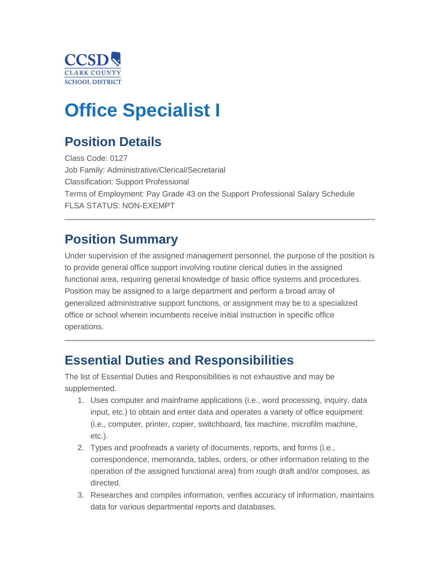

# **Office Specialist I**

## **Position Details**

Class Code: 0127 Job Family: Administrative/Clerical/Secretarial Classification: Support Professional Terms of Employment: Pay Grade 43 on the Support Professional Salary Schedule FLSA STATUS: NON-EXEMPT

### **Position Summary**

Under supervision of the assigned management personnel, the purpose of the position is to provide general office support involving routine clerical duties in the assigned functional area, requiring general knowledge of basic office systems and procedures. Position may be assigned to a large department and perform a broad array of generalized administrative support functions, or assignment may be to a specialized office or school wherein incumbents receive initial instruction in specific office operations.

### **Essential Duties and Responsibilities**

The list of Essential Duties and Responsibilities is not exhaustive and may be supplemented.

- 1. Uses computer and mainframe applications (i.e., word processing, inquiry, data input, etc.) to obtain and enter data and operates a variety of office equipment (i.e., computer, printer, copier, switchboard, fax machine, microfilm machine, etc.).
- 2. Types and proofreads a variety of documents, reports, and forms (i.e., correspondence, memoranda, tables, orders, or other information relating to the operation of the assigned functional area) from rough draft and/or composes, as directed.
- 3. Researches and compiles information, verifies accuracy of information, maintains data for various departmental reports and databases.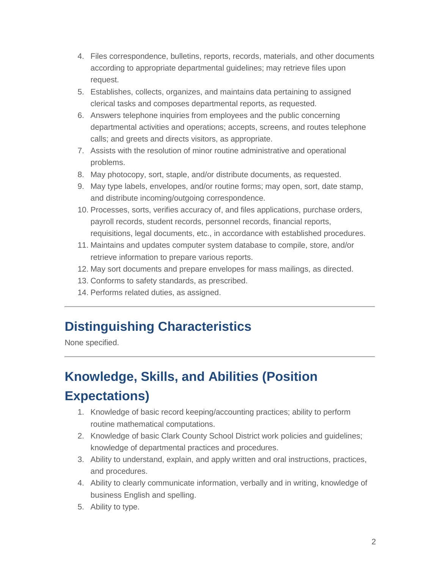- 4. Files correspondence, bulletins, reports, records, materials, and other documents according to appropriate departmental guidelines; may retrieve files upon request.
- 5. Establishes, collects, organizes, and maintains data pertaining to assigned clerical tasks and composes departmental reports, as requested.
- 6. Answers telephone inquiries from employees and the public concerning departmental activities and operations; accepts, screens, and routes telephone calls; and greets and directs visitors, as appropriate.
- 7. Assists with the resolution of minor routine administrative and operational problems.
- 8. May photocopy, sort, staple, and/or distribute documents, as requested.
- 9. May type labels, envelopes, and/or routine forms; may open, sort, date stamp, and distribute incoming/outgoing correspondence.
- 10. Processes, sorts, verifies accuracy of, and files applications, purchase orders, payroll records, student records, personnel records, financial reports, requisitions, legal documents, etc., in accordance with established procedures.
- 11. Maintains and updates computer system database to compile, store, and/or retrieve information to prepare various reports.
- 12. May sort documents and prepare envelopes for mass mailings, as directed.
- 13. Conforms to safety standards, as prescribed.
- 14. Performs related duties, as assigned.

### **Distinguishing Characteristics**

None specified.

# **Knowledge, Skills, and Abilities (Position Expectations)**

- 1. Knowledge of basic record keeping/accounting practices; ability to perform routine mathematical computations.
- 2. Knowledge of basic Clark County School District work policies and guidelines; knowledge of departmental practices and procedures.
- 3. Ability to understand, explain, and apply written and oral instructions, practices, and procedures.
- 4. Ability to clearly communicate information, verbally and in writing, knowledge of business English and spelling.
- 5. Ability to type.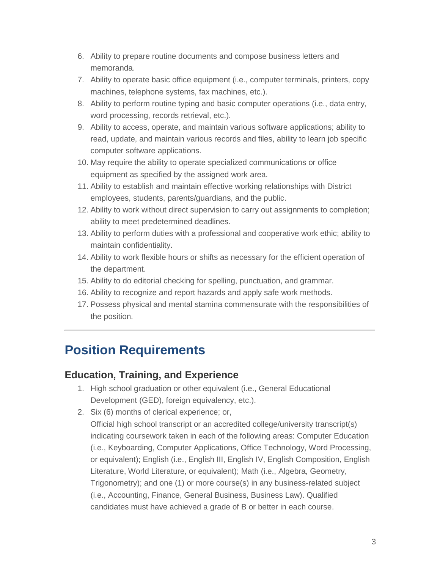- 6. Ability to prepare routine documents and compose business letters and memoranda.
- 7. Ability to operate basic office equipment (i.e., computer terminals, printers, copy machines, telephone systems, fax machines, etc.).
- 8. Ability to perform routine typing and basic computer operations (i.e., data entry, word processing, records retrieval, etc.).
- 9. Ability to access, operate, and maintain various software applications; ability to read, update, and maintain various records and files, ability to learn job specific computer software applications.
- 10. May require the ability to operate specialized communications or office equipment as specified by the assigned work area.
- 11. Ability to establish and maintain effective working relationships with District employees, students, parents/guardians, and the public.
- 12. Ability to work without direct supervision to carry out assignments to completion; ability to meet predetermined deadlines.
- 13. Ability to perform duties with a professional and cooperative work ethic; ability to maintain confidentiality.
- 14. Ability to work flexible hours or shifts as necessary for the efficient operation of the department.
- 15. Ability to do editorial checking for spelling, punctuation, and grammar.
- 16. Ability to recognize and report hazards and apply safe work methods.
- 17. Possess physical and mental stamina commensurate with the responsibilities of the position.

### **Position Requirements**

#### **Education, Training, and Experience**

- 1. High school graduation or other equivalent (i.e., General Educational Development (GED), foreign equivalency, etc.).
- 2. Six (6) months of clerical experience; or,

Official high school transcript or an accredited college/university transcript(s) indicating coursework taken in each of the following areas: Computer Education (i.e., Keyboarding, Computer Applications, Office Technology, Word Processing, or equivalent); English (i.e., English III, English IV, English Composition, English Literature, World Literature, or equivalent); Math (i.e., Algebra, Geometry, Trigonometry); and one (1) or more course(s) in any business-related subject (i.e., Accounting, Finance, General Business, Business Law). Qualified candidates must have achieved a grade of B or better in each course.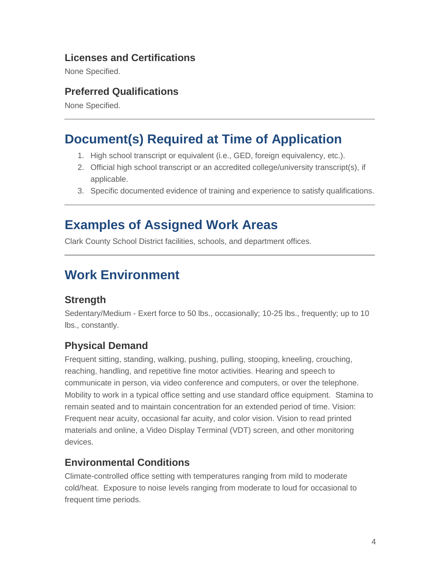#### **Licenses and Certifications**

None Specified.

#### **Preferred Qualifications**

None Specified.

### **Document(s) Required at Time of Application**

- 1. High school transcript or equivalent (i.e., GED, foreign equivalency, etc.).
- 2. Official high school transcript or an accredited college/university transcript(s), if applicable.
- 3. Specific documented evidence of training and experience to satisfy qualifications.

### **Examples of Assigned Work Areas**

Clark County School District facilities, schools, and department offices.

### **Work Environment**

#### **Strength**

Sedentary/Medium - Exert force to 50 lbs., occasionally; 10-25 lbs., frequently; up to 10 lbs., constantly.

#### **Physical Demand**

Frequent sitting, standing, walking, pushing, pulling, stooping, kneeling, crouching, reaching, handling, and repetitive fine motor activities. Hearing and speech to communicate in person, via video conference and computers, or over the telephone. Mobility to work in a typical office setting and use standard office equipment. Stamina to remain seated and to maintain concentration for an extended period of time. Vision: Frequent near acuity, occasional far acuity, and color vision. Vision to read printed materials and online, a Video Display Terminal (VDT) screen, and other monitoring devices.

#### **Environmental Conditions**

Climate-controlled office setting with temperatures ranging from mild to moderate cold/heat. Exposure to noise levels ranging from moderate to loud for occasional to frequent time periods.